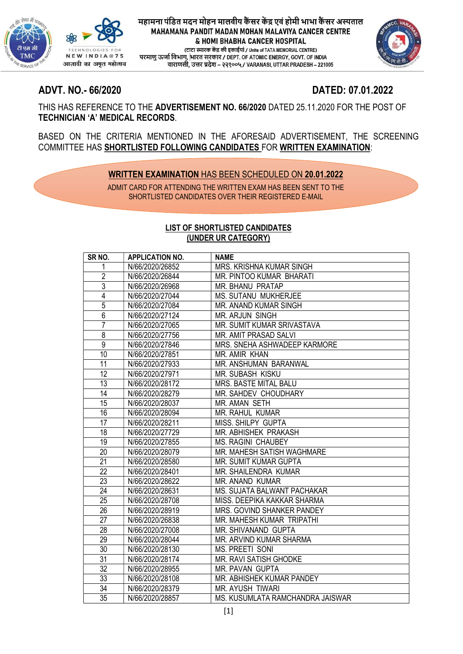

(टाटा स्मारक केंद्र की इकाईयां / Units of TATA MEMORIAL CENTRE) , परमाणु ऊर्जा विभाग, भारत सरकार / DEPT. OF ATOMIC ENERGY, GOVT. OF INDIA<br>वाराणसी, उत्तर प्रदेश – २२१००५ / VARANASI, UTTAR PRADESH – 221005



# ADVT. NO.- 66/2020 DATED: 07.01.2022

THIS HAS REFERENCE TO THE ADVERTISEMENT NO. 66/2020 DATED 25.11.2020 FOR THE POST OF TECHNICIAN 'A' MEDICAL RECORDS.

BASED ON THE CRITERIA MENTIONED IN THE AFORESAID ADVERTISEMENT, THE SCREENING COMMITTEE HAS SHORTLISTED FOLLOWING CANDIDATES FOR WRITTEN EXAMINATION:

# WRITTEN EXAMINATION HAS BEEN SCHEDULED ON 20.01.2022

ADMIT CARD FOR ATTENDING THE WRITTEN EXAM HAS BEEN SENT TO THE SHORTLISTED CANDIDATES OVER THEIR REGISTERED E-MAIL

## LIST OF SHORTLISTED CANDIDATES (UNDER UR CATEGORY)

| SR <sub>NO.</sub> | <b>APPLICATION NO.</b> | <b>NAME</b>                      |
|-------------------|------------------------|----------------------------------|
| 1                 | N/66/2020/26852        | <b>MRS. KRISHNA KUMAR SINGH</b>  |
| $\overline{2}$    | N/66/2020/26844        | MR. PINTOO KUMAR BHARATI         |
| $\overline{3}$    | N/66/2020/26968        | <b>MR. BHANU PRATAP</b>          |
| 4                 | N/66/2020/27044        | MS. SUTANU MUKHERJEE             |
| $\overline{5}$    | N/66/2020/27084        | MR. ANAND KUMAR SINGH            |
| $\overline{6}$    | N/66/2020/27124        | MR. ARJUN SINGH                  |
| $\overline{7}$    | N/66/2020/27065        | MR. SUMIT KUMAR SRIVASTAVA       |
| $\overline{8}$    | N/66/2020/27756        | MR. AMIT PRASAD SALVI            |
| $\overline{9}$    | N/66/2020/27846        | MRS. SNEHA ASHWADEEP KARMORE     |
| $\overline{10}$   | N/66/2020/27851        | MR. AMIR KHAN                    |
| 11                | N/66/2020/27933        | MR. ANSHUMAN BARANWAL            |
| $\overline{12}$   | N/66/2020/27971        | MR. SUBASH KISKU                 |
| 13                | N/66/2020/28172        | <b>MRS. BASTE MITAL BALU</b>     |
| $\overline{14}$   | N/66/2020/28279        | MR. SAHDEV CHOUDHARY             |
| 15                | N/66/2020/28037        | <b>MR. AMAN SETH</b>             |
| $\overline{16}$   | N/66/2020/28094        | <b>MR. RAHUL KUMAR</b>           |
| 17                | N/66/2020/28211        | MISS. SHILPY GUPTA               |
| $\overline{18}$   | N/66/2020/27729        | MR. ABHISHEK PRAKASH             |
| 19                | N/66/2020/27855        | <b>MS. RAGINI CHAUBEY</b>        |
| 20                | N/66/2020/28079        | MR. MAHESH SATISH WAGHMARE       |
| 21                | N/66/2020/28580        | MR. SUMIT KUMAR GUPTA            |
| $\overline{22}$   | N/66/2020/28401        | MR. SHAILENDRA KUMAR             |
| $\overline{23}$   | N/66/2020/28622        | MR. ANAND KUMAR                  |
| $\overline{24}$   | N/66/2020/28631        | MS. SUJATA BALWANT PACHAKAR      |
| $\overline{25}$   | N/66/2020/28708        | MISS. DEEPIKA KAKKAR SHARMA      |
| $\overline{26}$   | N/66/2020/28919        | MRS. GOVIND SHANKER PANDEY       |
| $\overline{27}$   | N/66/2020/26838        | MR. MAHESH KUMAR TRIPATHI        |
| 28                | N/66/2020/27008        | MR. SHIVANAND GUPTA              |
| 29                | N/66/2020/28044        | MR. ARVIND KUMAR SHARMA          |
| 30                | N/66/2020/28130        | <b>MS. PREETI SONI</b>           |
| $\overline{31}$   | N/66/2020/28174        | MR. RAVI SATISH GHODKE           |
| 32                | N/66/2020/28955        | MR. PAVAN GUPTA                  |
| $\overline{33}$   | N/66/2020/28108        | MR. ABHISHEK KUMAR PANDEY        |
| 34                | N/66/2020/28379        | <b>MR. AYUSH TIWARI</b>          |
| $\overline{35}$   | N/66/2020/28857        | MS. KUSUMLATA RAMCHANDRA JAISWAR |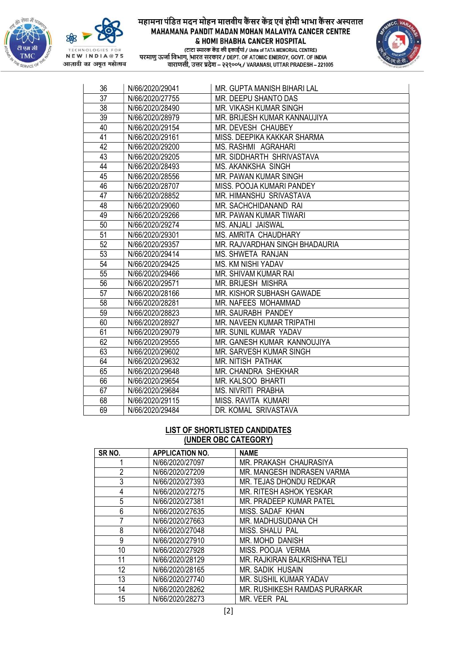



(टाटा स्मारक केंद्र की इकाईयां / Units of TATA MEMORIAL CENTRE) परमाणु ऊर्जा विभाग, भारत सरकार / DEPT. OF ATOMIC ENERGY, GOVT. OF INDIA<br>वाराणसी, उत्तर प्रदेश – २२१००५ / VARANASI, UTTAR PRADESH – 221005



| 36              | N/66/2020/29041 | MR. GUPTA MANISH BIHARI LAL    |
|-----------------|-----------------|--------------------------------|
| $\overline{37}$ | N/66/2020/27755 | MR. DEEPU SHANTO DAS           |
| 38              | N/66/2020/28490 | MR. VIKASH KUMAR SINGH         |
| 39              | N/66/2020/28979 | MR. BRIJESH KUMAR KANNAUJIYA   |
| 40              | N/66/2020/29154 | MR. DEVESH CHAUBEY             |
| 41              | N/66/2020/29161 | MISS. DEEPIKA KAKKAR SHARMA    |
| 42              | N/66/2020/29200 | MS. RASHMI AGRAHARI            |
| 43              | N/66/2020/29205 | MR. SIDDHARTH SHRIVASTAVA      |
| 44              | N/66/2020/28493 | <b>MS. AKANKSHA SINGH</b>      |
| 45              | N/66/2020/28556 | MR. PAWAN KUMAR SINGH          |
| 46              | N/66/2020/28707 | MISS. POOJA KUMARI PANDEY      |
| 47              | N/66/2020/28852 | MR. HIMANSHU SRIVASTAVA        |
| 48              | N/66/2020/29060 | MR. SACHCHIDANAND RAI          |
| 49              | N/66/2020/29266 | MR. PAWAN KUMAR TIWARI         |
| 50              | N/66/2020/29274 | MS. ANJALI JAISWAL             |
| $\overline{51}$ | N/66/2020/29301 | <b>MS. AMRITA CHAUDHARY</b>    |
| 52              | N/66/2020/29357 | MR. RAJVARDHAN SINGH BHADAURIA |
| 53              | N/66/2020/29414 | MS. SHWETA RANJAN              |
| $\overline{54}$ | N/66/2020/29425 | MS. KM NISHI YADAV             |
| 55              | N/66/2020/29466 | MR. SHIVAM KUMAR RAI           |
| 56              | N/66/2020/29571 | <b>MR. BRIJESH MISHRA</b>      |
| 57              | N/66/2020/28166 | MR. KISHOR SUBHASH GAWADE      |
| 58              | N/66/2020/28281 | MR. NAFEES MOHAMMAD            |
| 59              | N/66/2020/28823 | MR. SAURABH PANDEY             |
| 60              | N/66/2020/28927 | MR. NAVEEN KUMAR TRIPATHI      |
| 61              | N/66/2020/29079 | MR. SUNIL KUMAR YADAV          |
| 62              | N/66/2020/29555 | MR. GANESH KUMAR KANNOUJIYA    |
| 63              | N/66/2020/29602 | MR. SARVESH KUMAR SINGH        |
| 64              | N/66/2020/29632 | MR. NITISH PATHAK              |
| 65              | N/66/2020/29648 | MR. CHANDRA SHEKHAR            |
| 66              | N/66/2020/29654 | MR. KALSOO BHARTI              |
| 67              | N/66/2020/29684 | <b>MS. NIVRITI PRABHA</b>      |
| 68              | N/66/2020/29115 | MISS. RAVITA KUMARI            |
| 69              | N/66/2020/29484 | DR. KOMAL SRIVASTAVA           |

## LIST OF SHORTLISTED CANDIDATES (UNDER OBC CATEGORY)

| SR <sub>NO.</sub> | <b>APPLICATION NO.</b> | <b>NAME</b>                   |
|-------------------|------------------------|-------------------------------|
|                   | N/66/2020/27097        | MR. PRAKASH CHAURASIYA        |
| $\overline{2}$    | N/66/2020/27209        | MR. MANGESH INDRASEN VARMA    |
| 3                 | N/66/2020/27393        | MR. TEJAS DHONDU REDKAR       |
| 4                 | N/66/2020/27275        | MR. RITESH ASHOK YESKAR       |
| 5                 | N/66/2020/27381        | MR. PRADEEP KUMAR PATEL       |
| 6                 | N/66/2020/27635        | MISS, SADAF KHAN              |
|                   | N/66/2020/27663        | MR. MADHUSUDANA CH            |
| 8                 | N/66/2020/27048        | MISS. SHALU PAL               |
| 9                 | N/66/2020/27910        | MR. MOHD DANISH               |
| 10                | N/66/2020/27928        | MISS. POOJA VERMA             |
| 11                | N/66/2020/28129        | MR. RAJKIRAN BALKRISHNA TELI  |
| 12                | N/66/2020/28165        | MR. SADIK HUSAIN              |
| 13                | N/66/2020/27740        | MR. SUSHIL KUMAR YADAV        |
| 14                | N/66/2020/28262        | MR. RUSHIKESH RAMDAS PURARKAR |
| 15                | N/66/2020/28273        | MR. VEER PAL                  |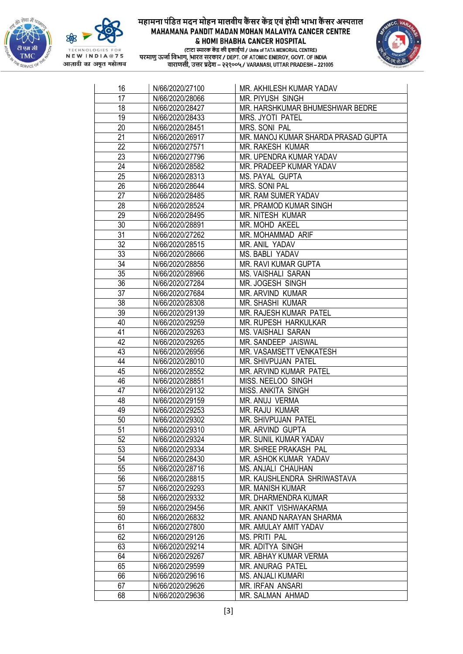





| 16              | N/66/2020/27100 | MR. AKHILESH KUMAR YADAV            |
|-----------------|-----------------|-------------------------------------|
| 17              | N/66/2020/28066 | <b>MR. PIYUSH SINGH</b>             |
| 18              | N/66/2020/28427 | MR. HARSHKUMAR BHUMESHWAR BEDRE     |
| 19              | N/66/2020/28433 | MRS. JYOTI PATEL                    |
| 20              | N/66/2020/28451 | MRS. SONI PAL                       |
| $\overline{21}$ | N/66/2020/26917 | MR. MANOJ KUMAR SHARDA PRASAD GUPTA |
| 22              | N/66/2020/27571 | MR. RAKESH KUMAR                    |
| 23              | N/66/2020/27796 | MR. UPENDRA KUMAR YADAV             |
| 24              | N/66/2020/28582 | MR. PRADEEP KUMAR YADAV             |
| 25              | N/66/2020/28313 | MS. PAYAL GUPTA                     |
| $\overline{26}$ | N/66/2020/28644 | MRS. SONI PAL                       |
| 27              | N/66/2020/28485 | MR. RAM SUMER YADAV                 |
| 28              | N/66/2020/28524 | MR. PRAMOD KUMAR SINGH              |
| 29              | N/66/2020/28495 | MR. NITESH KUMAR                    |
| 30              | N/66/2020/28891 | MR. MOHD AKEEL                      |
| 31              | N/66/2020/27262 | MR. MOHAMMAD ARIF                   |
| 32              | N/66/2020/28515 | MR. ANIL YADAV                      |
| 33              | N/66/2020/28666 | MS. BABLI YADAV                     |
| 34              | N/66/2020/28856 | MR. RAVI KUMAR GUPTA                |
| 35              | N/66/2020/28966 | <b>MS. VAISHALI SARAN</b>           |
| 36              | N/66/2020/27284 | MR. JOGESH SINGH                    |
| $\overline{37}$ | N/66/2020/27684 | MR. ARVIND KUMAR                    |
| 38              | N/66/2020/28308 | MR. SHASHI KUMAR                    |
| 39              | N/66/2020/29139 | MR. RAJESH KUMAR PATEL              |
| 40              | N/66/2020/29259 | MR. RUPESH HARKULKAR                |
| 41              | N/66/2020/29263 | <b>MS. VAISHALI SARAN</b>           |
| 42              | N/66/2020/29265 | MR. SANDEEP JAISWAL                 |
| 43              | N/66/2020/26956 | MR. VASAMSETT VENKATESH             |
| 44              | N/66/2020/28010 | MR. SHIVPUJAN PATEL                 |
| 45              | N/66/2020/28552 | MR. ARVIND KUMAR PATEL              |
| 46              | N/66/2020/28851 | MISS. NEELOO SINGH                  |
| 47              | N/66/2020/29132 | MISS. ANKITA SINGH                  |
| 48              | N/66/2020/29159 | MR. ANUJ VERMA                      |
| 49              | N/66/2020/29253 | <b>MR. RAJU KUMAR</b>               |
| 50              | N/66/2020/29302 | MR. SHIVPUJAN PATEL                 |
| 51              | N/66/2020/29310 | MR. ARVIND GUPTA                    |
| 52              | N/66/2020/29324 | MR. SUNIL KUMAR YADAV               |
| 53              | N/66/2020/29334 | MR. SHREE PRAKASH PAL               |
| 54              | N/66/2020/28430 | MR. ASHOK KUMAR YADAV               |
| 55              | N/66/2020/28716 | MS. ANJALI CHAUHAN                  |
| 56              | N/66/2020/28815 | MR. KAUSHLENDRA SHRIWASTAVA         |
| 57              | N/66/2020/29293 | MR. MANISH KUMAR                    |
| 58              | N/66/2020/29332 | MR. DHARMENDRA KUMAR                |
| 59              | N/66/2020/29456 | MR. ANKIT VISHWAKARMA               |
| 60              | N/66/2020/26832 | MR. ANAND NARAYAN SHARMA            |
| 61              | N/66/2020/27800 | MR. AMULAY AMIT YADAV               |
| 62              | N/66/2020/29126 | <b>MS. PRITI PAL</b>                |
| 63              | N/66/2020/29214 | MR. ADITYA SINGH                    |
| 64              | N/66/2020/29267 | MR. ABHAY KUMAR VERMA               |
| 65              | N/66/2020/29599 | MR. ANURAG PATEL                    |
| 66              | N/66/2020/29616 | MS. ANJALI KUMARI                   |
| 67              | N/66/2020/29626 | MR. IRFAN ANSARI                    |
| 68              | N/66/2020/29636 | MR. SALMAN AHMAD                    |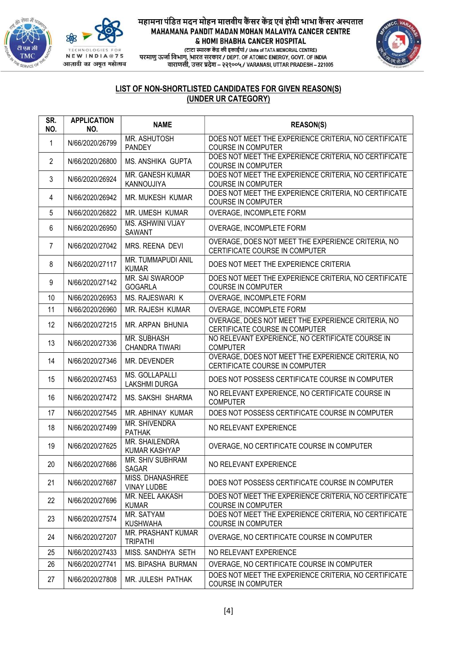



# महामना पंडित मदन मोहन मालवीय कैंसर केंद्र एवं होमी भाभा कैंसर अस्पताल MAHAMANA PANDIT MADAN MOHAN MALAVIYA CANCER CENTRE

& HOMI BHABHA CANCER HOSPITAL



(टाटा स्मारक केंद्र की इकाईयां / Units of TATA MEMORIAL CENTRE) परमाणु ऊर्जा विभाग, भारत सरकार / DEPT. OF ATOMIC ENERGY, GOVT. OF INDIA<br>वाराणसी, उत्तर प्रदेश – २२१००५ / VARANASI, UTTAR PRADESH – 221005

## LIST OF NON-SHORTLISTED CANDIDATES FOR GIVEN REASON(S) (UNDER UR CATEGORY)

| SR.<br>NO.     | <b>APPLICATION</b><br>NO. | <b>NAME</b>                               | <b>REASON(S)</b>                                                                     |
|----------------|---------------------------|-------------------------------------------|--------------------------------------------------------------------------------------|
| $\mathbf{1}$   | N/66/2020/26799           | MR. ASHUTOSH<br><b>PANDEY</b>             | DOES NOT MEET THE EXPERIENCE CRITERIA, NO CERTIFICATE<br><b>COURSE IN COMPUTER</b>   |
| $\overline{2}$ | N/66/2020/26800           | MS. ANSHIKA GUPTA                         | DOES NOT MEET THE EXPERIENCE CRITERIA, NO CERTIFICATE<br><b>COURSE IN COMPUTER</b>   |
| 3              | N/66/2020/26924           | MR. GANESH KUMAR<br>KANNOUJIYA            | DOES NOT MEET THE EXPERIENCE CRITERIA, NO CERTIFICATE<br><b>COURSE IN COMPUTER</b>   |
| 4              | N/66/2020/26942           | <b>MR. MUKESH KUMAR</b>                   | DOES NOT MEET THE EXPERIENCE CRITERIA, NO CERTIFICATE<br><b>COURSE IN COMPUTER</b>   |
| 5              | N/66/2020/26822           | MR. UMESH KUMAR                           | OVERAGE, INCOMPLETE FORM                                                             |
| 6              | N/66/2020/26950           | <b>MS. ASHWINI VIJAY</b><br><b>SAWANT</b> | OVERAGE, INCOMPLETE FORM                                                             |
| $\overline{7}$ | N/66/2020/27042           | MRS. REENA DEVI                           | OVERAGE, DOES NOT MEET THE EXPERIENCE CRITERIA, NO<br>CERTIFICATE COURSE IN COMPUTER |
| 8              | N/66/2020/27117           | MR. TUMMAPUDI ANIL<br><b>KUMAR</b>        | DOES NOT MEET THE EXPERIENCE CRITERIA                                                |
| 9              | N/66/2020/27142           | MR. SAI SWAROOP<br><b>GOGARLA</b>         | DOES NOT MEET THE EXPERIENCE CRITERIA, NO CERTIFICATE<br><b>COURSE IN COMPUTER</b>   |
| 10             | N/66/2020/26953           | <b>MS. RAJESWARI K</b>                    | OVERAGE, INCOMPLETE FORM                                                             |
| 11             | N/66/2020/26960           | <b>MR. RAJESH KUMAR</b>                   | OVERAGE, INCOMPLETE FORM                                                             |
| 12             | N/66/2020/27215           | MR. ARPAN BHUNIA                          | OVERAGE, DOES NOT MEET THE EXPERIENCE CRITERIA, NO<br>CERTIFICATE COURSE IN COMPUTER |
| 13             | N/66/2020/27336           | MR. SUBHASH<br><b>CHANDRA TIWARI</b>      | NO RELEVANT EXPERIENCE, NO CERTIFICATE COURSE IN<br><b>COMPUTER</b>                  |
| 14             | N/66/2020/27346           | MR. DEVENDER                              | OVERAGE, DOES NOT MEET THE EXPERIENCE CRITERIA, NO<br>CERTIFICATE COURSE IN COMPUTER |
| 15             | N/66/2020/27453           | MS. GOLLAPALLI<br>LAKSHMI DURGA           | DOES NOT POSSESS CERTIFICATE COURSE IN COMPUTER                                      |
| 16             | N/66/2020/27472           | <b>MS. SAKSHI SHARMA</b>                  | NO RELEVANT EXPERIENCE, NO CERTIFICATE COURSE IN<br><b>COMPUTER</b>                  |
| 17             | N/66/2020/27545           | MR. ABHINAY KUMAR                         | DOES NOT POSSESS CERTIFICATE COURSE IN COMPUTER                                      |
| 18             | N/66/2020/27499           | <b>MR. SHIVENDRA</b><br><b>PATHAK</b>     | NO RELEVANT EXPERIENCE                                                               |
| 19             | N/66/2020/27625           | MR. SHAILENDRA<br>KUMAR KASHYAP           | OVERAGE, NO CERTIFICATE COURSE IN COMPUTER                                           |
| 20             | N/66/2020/27686           | MR. SHIV SUBHRAM<br><b>SAGAR</b>          | NO RELEVANT EXPERIENCE                                                               |
| 21             | N/66/2020/27687           | MISS. DHANASHREE<br><b>VINAY LUDBE</b>    | DOES NOT POSSESS CERTIFICATE COURSE IN COMPUTER                                      |
| 22             | N/66/2020/27696           | MR. NEEL AAKASH<br><b>KUMAR</b>           | DOES NOT MEET THE EXPERIENCE CRITERIA, NO CERTIFICATE<br><b>COURSE IN COMPUTER</b>   |
| 23             | N/66/2020/27574           | MR. SATYAM<br><b>KUSHWAHA</b>             | DOES NOT MEET THE EXPERIENCE CRITERIA, NO CERTIFICATE<br><b>COURSE IN COMPUTER</b>   |
| 24             | N/66/2020/27207           | MR. PRASHANT KUMAR<br><b>TRIPATHI</b>     | OVERAGE, NO CERTIFICATE COURSE IN COMPUTER                                           |
| 25             | N/66/2020/27433           | MISS. SANDHYA SETH                        | NO RELEVANT EXPERIENCE                                                               |
| 26             | N/66/2020/27741           | MS. BIPASHA BURMAN                        | OVERAGE, NO CERTIFICATE COURSE IN COMPUTER                                           |
| 27             | N/66/2020/27808           | MR. JULESH PATHAK                         | DOES NOT MEET THE EXPERIENCE CRITERIA, NO CERTIFICATE<br><b>COURSE IN COMPUTER</b>   |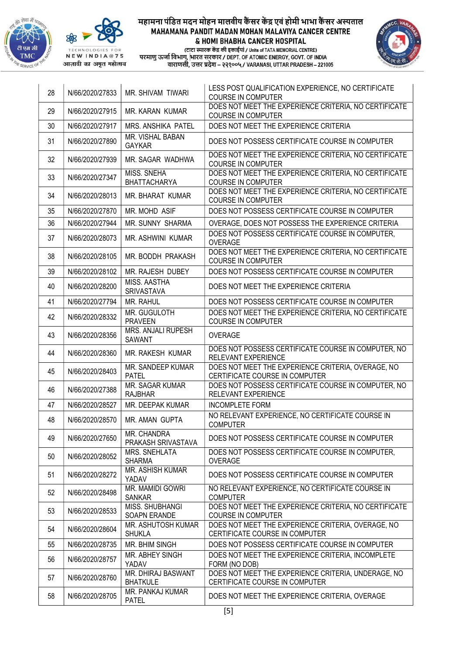



आज़ादी का अमृत महोत्सव

## महामना पंडित मदन मोहन मालवीय कैंसर केंद्र एवं होमी भाभा कैंसर अस्पताल MAHAMANA PANDIT MADAN MOHAN MALAVIYA CANCER CENTRE & HOMI BHABHA CANCER HOSPITAL



| 28 | N/66/2020/27833 | MR. SHIVAM TIWARI                        | LESS POST QUALIFICATION EXPERIENCE, NO CERTIFICATE<br><b>COURSE IN COMPUTER</b>       |
|----|-----------------|------------------------------------------|---------------------------------------------------------------------------------------|
| 29 | N/66/2020/27915 | MR. KARAN KUMAR                          | DOES NOT MEET THE EXPERIENCE CRITERIA, NO CERTIFICATE<br><b>COURSE IN COMPUTER</b>    |
| 30 | N/66/2020/27917 | <b>MRS. ANSHIKA PATEL</b>                | DOES NOT MEET THE EXPERIENCE CRITERIA                                                 |
| 31 | N/66/2020/27890 | MR. VISHAL BABAN<br><b>GAYKAR</b>        | DOES NOT POSSESS CERTIFICATE COURSE IN COMPUTER                                       |
| 32 | N/66/2020/27939 | MR. SAGAR WADHWA                         | DOES NOT MEET THE EXPERIENCE CRITERIA, NO CERTIFICATE<br><b>COURSE IN COMPUTER</b>    |
| 33 | N/66/2020/27347 | MISS. SNEHA<br><b>BHATTACHARYA</b>       | DOES NOT MEET THE EXPERIENCE CRITERIA, NO CERTIFICATE<br><b>COURSE IN COMPUTER</b>    |
| 34 | N/66/2020/28013 | <b>MR. BHARAT KUMAR</b>                  | DOES NOT MEET THE EXPERIENCE CRITERIA, NO CERTIFICATE<br><b>COURSE IN COMPUTER</b>    |
| 35 | N/66/2020/27870 | MR. MOHD ASIF                            | DOES NOT POSSESS CERTIFICATE COURSE IN COMPUTER                                       |
| 36 | N/66/2020/27944 | MR. SUNNY SHARMA                         | OVERAGE, DOES NOT POSSESS THE EXPERIENCE CRITERIA                                     |
| 37 | N/66/2020/28073 | <b>MR. ASHWINI KUMAR</b>                 | DOES NOT POSSESS CERTIFICATE COURSE IN COMPUTER,<br><b>OVERAGE</b>                    |
| 38 | N/66/2020/28105 | MR. BODDH PRAKASH                        | DOES NOT MEET THE EXPERIENCE CRITERIA, NO CERTIFICATE<br><b>COURSE IN COMPUTER</b>    |
| 39 | N/66/2020/28102 | <b>MR. RAJESH DUBEY</b>                  | DOES NOT POSSESS CERTIFICATE COURSE IN COMPUTER                                       |
| 40 | N/66/2020/28200 | MISS. AASTHA<br><b>SRIVASTAVA</b>        | DOES NOT MEET THE EXPERIENCE CRITERIA                                                 |
| 41 | N/66/2020/27794 | MR. RAHUL                                | DOES NOT POSSESS CERTIFICATE COURSE IN COMPUTER                                       |
| 42 | N/66/2020/28332 | MR. GUGULOTH<br><b>PRAVEEN</b>           | DOES NOT MEET THE EXPERIENCE CRITERIA, NO CERTIFICATE<br><b>COURSE IN COMPUTER</b>    |
| 43 | N/66/2020/28356 | MRS. ANJALI RUPESH<br>SAWANT             | <b>OVERAGE</b>                                                                        |
| 44 | N/66/2020/28360 | MR. RAKESH KUMAR                         | DOES NOT POSSESS CERTIFICATE COURSE IN COMPUTER, NO<br>RELEVANT EXPERIENCE            |
| 45 | N/66/2020/28403 | MR. SANDEEP KUMAR<br><b>PATEL</b>        | DOES NOT MEET THE EXPERIENCE CRITERIA, OVERAGE, NO<br>CERTIFICATE COURSE IN COMPUTER  |
| 46 | N/66/2020/27388 | <b>MR. SAGAR KUMAR</b><br><b>RAJBHAR</b> | DOES NOT POSSESS CERTIFICATE COURSE IN COMPUTER, NO<br>RELEVANT EXPERIENCE            |
| 47 | N/66/2020/28527 | MR. DEEPAK KUMAR                         | <b>INCOMPLETE FORM</b>                                                                |
| 48 | N/66/2020/28570 | <b>MR. AMAN GUPTA</b>                    | NO RELEVANT EXPERIENCE, NO CERTIFICATE COURSE IN<br><b>COMPUTER</b>                   |
| 49 | N/66/2020/27650 | MR. CHANDRA<br>PRAKASH SRIVASTAVA        | DOES NOT POSSESS CERTIFICATE COURSE IN COMPUTER                                       |
| 50 | N/66/2020/28052 | MRS. SNEHLATA<br><b>SHARMA</b>           | DOES NOT POSSESS CERTIFICATE COURSE IN COMPUTER,<br><b>OVERAGE</b>                    |
| 51 | N/66/2020/28272 | MR. ASHISH KUMAR<br>YADAV                | DOES NOT POSSESS CERTIFICATE COURSE IN COMPUTER                                       |
| 52 | N/66/2020/28498 | MR. MAMIDI GOWRI<br><b>SANKAR</b>        | NO RELEVANT EXPERIENCE, NO CERTIFICATE COURSE IN<br><b>COMPUTER</b>                   |
| 53 | N/66/2020/28533 | MISS. SHUBHANGI<br>SOAPN ERANDE          | DOES NOT MEET THE EXPERIENCE CRITERIA, NO CERTIFICATE<br><b>COURSE IN COMPUTER</b>    |
| 54 | N/66/2020/28604 | MR. ASHUTOSH KUMAR<br><b>SHUKLA</b>      | DOES NOT MEET THE EXPERIENCE CRITERIA, OVERAGE, NO<br>CERTIFICATE COURSE IN COMPUTER  |
| 55 | N/66/2020/28735 | MR. BHIM SINGH                           | DOES NOT POSSESS CERTIFICATE COURSE IN COMPUTER                                       |
| 56 | N/66/2020/28757 | MR. ABHEY SINGH<br>YADAV                 | DOES NOT MEET THE EXPERIENCE CRITERIA, INCOMPLETE<br>FORM (NO DOB)                    |
| 57 | N/66/2020/28760 | MR. DHIRAJ BASWANT<br><b>BHATKULE</b>    | DOES NOT MEET THE EXPERIENCE CRITERIA, UNDERAGE, NO<br>CERTIFICATE COURSE IN COMPUTER |
| 58 | N/66/2020/28705 | MR. PANKAJ KUMAR<br><b>PATEL</b>         | DOES NOT MEET THE EXPERIENCE CRITERIA, OVERAGE                                        |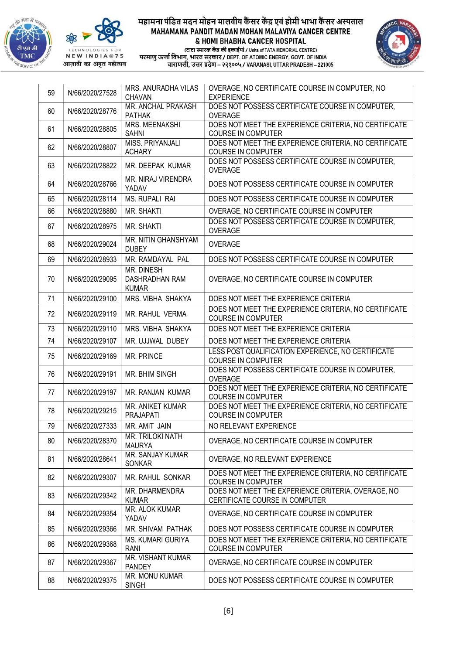





| 59 | N/66/2020/27528 | MRS. ANURADHA VILAS<br><b>CHAVAN</b>                | OVERAGE, NO CERTIFICATE COURSE IN COMPUTER, NO<br><b>EXPERIENCE</b>                  |
|----|-----------------|-----------------------------------------------------|--------------------------------------------------------------------------------------|
| 60 | N/66/2020/28776 | MR. ANCHAL PRAKASH<br><b>PATHAK</b>                 | DOES NOT POSSESS CERTIFICATE COURSE IN COMPUTER,<br><b>OVERAGE</b>                   |
| 61 | N/66/2020/28805 | MRS. MEENAKSHI<br><b>SAHNI</b>                      | DOES NOT MEET THE EXPERIENCE CRITERIA, NO CERTIFICATE<br><b>COURSE IN COMPUTER</b>   |
| 62 | N/66/2020/28807 | MISS. PRIYANJALI<br><b>ACHARY</b>                   | DOES NOT MEET THE EXPERIENCE CRITERIA, NO CERTIFICATE<br><b>COURSE IN COMPUTER</b>   |
| 63 | N/66/2020/28822 | MR. DEEPAK KUMAR                                    | DOES NOT POSSESS CERTIFICATE COURSE IN COMPUTER,<br>OVERAGE                          |
| 64 | N/66/2020/28766 | MR. NIRAJ VIRENDRA<br>YADAV                         | DOES NOT POSSESS CERTIFICATE COURSE IN COMPUTER                                      |
| 65 | N/66/2020/28114 | <b>MS. RUPALI RAI</b>                               | DOES NOT POSSESS CERTIFICATE COURSE IN COMPUTER                                      |
| 66 | N/66/2020/28880 | MR. SHAKTI                                          | OVERAGE, NO CERTIFICATE COURSE IN COMPUTER                                           |
| 67 | N/66/2020/28975 | MR. SHAKTI                                          | DOES NOT POSSESS CERTIFICATE COURSE IN COMPUTER,<br><b>OVERAGE</b>                   |
| 68 | N/66/2020/29024 | MR. NITIN GHANSHYAM<br><b>DUBEY</b>                 | <b>OVERAGE</b>                                                                       |
| 69 | N/66/2020/28933 | MR. RAMDAYAL PAL                                    | DOES NOT POSSESS CERTIFICATE COURSE IN COMPUTER                                      |
| 70 | N/66/2020/29095 | MR. DINESH<br><b>DASHRADHAN RAM</b><br><b>KUMAR</b> | OVERAGE, NO CERTIFICATE COURSE IN COMPUTER                                           |
| 71 | N/66/2020/29100 | MRS. VIBHA SHAKYA                                   | DOES NOT MEET THE EXPERIENCE CRITERIA                                                |
| 72 | N/66/2020/29119 | MR. RAHUL VERMA                                     | DOES NOT MEET THE EXPERIENCE CRITERIA, NO CERTIFICATE<br><b>COURSE IN COMPUTER</b>   |
| 73 | N/66/2020/29110 | MRS. VIBHA SHAKYA                                   | DOES NOT MEET THE EXPERIENCE CRITERIA                                                |
| 74 | N/66/2020/29107 | MR. UJJWAL DUBEY                                    | DOES NOT MEET THE EXPERIENCE CRITERIA                                                |
| 75 | N/66/2020/29169 | MR. PRINCE                                          | LESS POST QUALIFICATION EXPERIENCE, NO CERTIFICATE<br><b>COURSE IN COMPUTER</b>      |
| 76 | N/66/2020/29191 | MR. BHIM SINGH                                      | DOES NOT POSSESS CERTIFICATE COURSE IN COMPUTER,<br>OVERAGE                          |
| 77 | N/66/2020/29197 | MR. RANJAN KUMAR                                    | DOES NOT MEET THE EXPERIENCE CRITERIA, NO CERTIFICATE<br><b>COURSE IN COMPUTER</b>   |
| 78 | N/66/2020/29215 | MR. ANIKET KUMAR<br><b>PRAJAPATI</b>                | DOES NOT MEET THE EXPERIENCE CRITERIA, NO CERTIFICATE<br><b>COURSE IN COMPUTER</b>   |
| 79 | N/66/2020/27333 | MR. AMIT JAIN                                       | NO RELEVANT EXPERIENCE                                                               |
| 80 | N/66/2020/28370 | MR. TRILOKI NATH<br><b>MAURYA</b>                   | OVERAGE, NO CERTIFICATE COURSE IN COMPUTER                                           |
| 81 | N/66/2020/28641 | MR. SANJAY KUMAR<br><b>SONKAR</b>                   | OVERAGE, NO RELEVANT EXPERIENCE                                                      |
| 82 | N/66/2020/29307 | MR. RAHUL SONKAR                                    | DOES NOT MEET THE EXPERIENCE CRITERIA, NO CERTIFICATE<br><b>COURSE IN COMPUTER</b>   |
| 83 | N/66/2020/29342 | MR. DHARMENDRA<br><b>KUMAR</b>                      | DOES NOT MEET THE EXPERIENCE CRITERIA, OVERAGE, NO<br>CERTIFICATE COURSE IN COMPUTER |
| 84 | N/66/2020/29354 | MR. ALOK KUMAR<br>YADAV                             | OVERAGE, NO CERTIFICATE COURSE IN COMPUTER                                           |
| 85 | N/66/2020/29366 | MR. SHIVAM PATHAK                                   | DOES NOT POSSESS CERTIFICATE COURSE IN COMPUTER                                      |
| 86 | N/66/2020/29368 | <b>MS. KUMARI GURIYA</b><br>RANI                    | DOES NOT MEET THE EXPERIENCE CRITERIA, NO CERTIFICATE<br><b>COURSE IN COMPUTER</b>   |
| 87 | N/66/2020/29367 | MR. VISHANT KUMAR<br><b>PANDEY</b>                  | OVERAGE, NO CERTIFICATE COURSE IN COMPUTER                                           |
| 88 | N/66/2020/29375 | MR. MONU KUMAR<br><b>SINGH</b>                      | DOES NOT POSSESS CERTIFICATE COURSE IN COMPUTER                                      |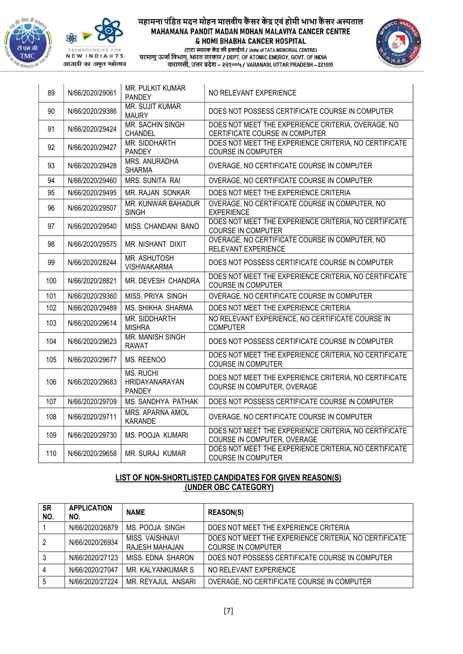



आज़ादी का अमृत महोत्सव

## महामना पंडित मदन मोहन मालवीय कैंसर केंद्र एवं होमी भाभा कैंसर अस्पताल MAHAMANA PANDIT MADAN MOHAN MALAVIYA CANCER CENTRE & HOMI BHABHA CANCER HOSPITAL





| 89  | N/66/2020/29061 | MR. PULKIT KUMAR<br><b>PANDEY</b>            | NO RELEVANT EXPERIENCE                                                               |
|-----|-----------------|----------------------------------------------|--------------------------------------------------------------------------------------|
| 90  | N/66/2020/29386 | <b>MR. SUJIT KUMAR</b><br><b>MAURY</b>       | DOES NOT POSSESS CERTIFICATE COURSE IN COMPUTER                                      |
| 91  | N/66/2020/29424 | <b>MR. SACHIN SINGH</b><br><b>CHANDEL</b>    | DOES NOT MEET THE EXPERIENCE CRITERIA, OVERAGE, NO<br>CERTIFICATE COURSE IN COMPUTER |
| 92  | N/66/2020/29427 | MR. SIDDHARTH<br><b>PANDEY</b>               | DOES NOT MEET THE EXPERIENCE CRITERIA, NO CERTIFICATE<br><b>COURSE IN COMPUTER</b>   |
| 93  | N/66/2020/29428 | MRS. ANURADHA<br><b>SHARMA</b>               | OVERAGE, NO CERTIFICATE COURSE IN COMPUTER                                           |
| 94  | N/66/2020/29460 | MRS. SUNITA RAI                              | OVERAGE, NO CERTIFICATE COURSE IN COMPUTER                                           |
| 95  | N/66/2020/29495 | MR. RAJAN SONKAR                             | DOES NOT MEET THE EXPERIENCE CRITERIA                                                |
| 96  | N/66/2020/29507 | MR. KUNWAR BAHADUR<br><b>SINGH</b>           | OVERAGE, NO CERTIFICATE COURSE IN COMPUTER, NO<br><b>EXPERIENCE</b>                  |
| 97  | N/66/2020/29540 | MISS. CHANDANI BANO                          | DOES NOT MEET THE EXPERIENCE CRITERIA, NO CERTIFICATE<br><b>COURSE IN COMPUTER</b>   |
| 98  | N/66/2020/29575 | MR. NISHANT DIXIT                            | OVERAGE, NO CERTIFICATE COURSE IN COMPUTER, NO<br>RELEVANT EXPERIENCE                |
| 99  | N/66/2020/28244 | MR. ASHUTOSH<br><b>VISHWAKARMA</b>           | DOES NOT POSSESS CERTIFICATE COURSE IN COMPUTER                                      |
| 100 | N/66/2020/28821 | MR. DEVESH CHANDRA                           | DOES NOT MEET THE EXPERIENCE CRITERIA, NO CERTIFICATE<br><b>COURSE IN COMPUTER</b>   |
| 101 | N/66/2020/29360 | MISS, PRIYA SINGH                            | OVERAGE, NO CERTIFICATE COURSE IN COMPUTER                                           |
| 102 | N/66/2020/29489 | MS. SHIKHA SHARMA                            | DOES NOT MEET THE EXPERIENCE CRITERIA                                                |
| 103 | N/66/2020/29614 | <b>MR. SIDDHARTH</b><br><b>MISHRA</b>        | NO RELEVANT EXPERIENCE, NO CERTIFICATE COURSE IN<br><b>COMPUTER</b>                  |
| 104 | N/66/2020/29623 | MR. MANISH SINGH<br><b>RAWAT</b>             | DOES NOT POSSESS CERTIFICATE COURSE IN COMPUTER                                      |
| 105 | N/66/2020/29677 | MS. REENOO                                   | DOES NOT MEET THE EXPERIENCE CRITERIA, NO CERTIFICATE<br><b>COURSE IN COMPUTER</b>   |
| 106 | N/66/2020/29683 | <b>MS. RUCHI</b><br>HRIDAYANARAYAN<br>PANDEY | DOES NOT MEET THE EXPERIENCE CRITERIA, NO CERTIFICATE<br>COURSE IN COMPUTER, OVERAGE |
| 107 | N/66/2020/29709 | MS. SANDHYA PATHAK                           | DOES NOT POSSESS CERTIFICATE COURSE IN COMPUTER                                      |
| 108 | N/66/2020/29711 | MRS. APARNA AMOL<br><b>KARANDE</b>           | OVERAGE, NO CERTIFICATE COURSE IN COMPUTER                                           |
| 109 | N/66/2020/29730 | MS. POOJA KUMARI                             | DOES NOT MEET THE EXPERIENCE CRITERIA, NO CERTIFICATE<br>COURSE IN COMPUTER, OVERAGE |
| 110 | N/66/2020/29658 | <b>MR. SURAJ KUMAR</b>                       | DOES NOT MEET THE EXPERIENCE CRITERIA, NO CERTIFICATE<br><b>COURSE IN COMPUTER</b>   |

# LIST OF NON-SHORTLISTED CANDIDATES FOR GIVEN REASON(S) (UNDER OBC CATEGORY)

| <b>SR</b><br>NO. | <b>APPLICATION</b><br>NO. | <b>NAME</b>                       | <b>REASON(S)</b>                                                                   |
|------------------|---------------------------|-----------------------------------|------------------------------------------------------------------------------------|
|                  | N/66/2020/26879           | MS. POOJA SINGH                   | DOES NOT MEET THE EXPERIENCE CRITERIA                                              |
| 2                | N/66/2020/26934           | MISS. VAISHNAVI<br>RAJESH MAHAJAN | DOES NOT MEET THE EXPERIENCE CRITERIA, NO CERTIFICATE<br><b>COURSE IN COMPUTER</b> |
|                  | N/66/2020/27123           | MISS, EDNA SHARON                 | DOES NOT POSSESS CERTIFICATE COURSE IN COMPUTER                                    |
|                  | N/66/2020/27047           | MR. KALYANKUMAR S                 | NO RELEVANT EXPERIENCE                                                             |
| 5                | N/66/2020/27224           | MR. REYAJUL ANSARI                | OVERAGE, NO CERTIFICATE COURSE IN COMPUTER                                         |